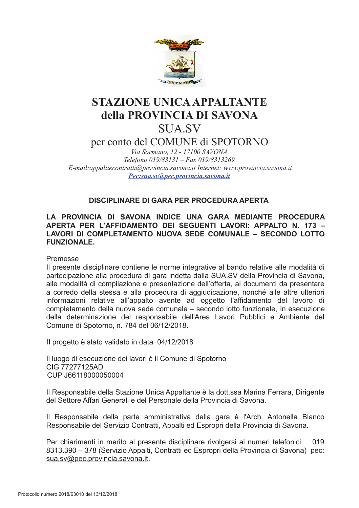

# **STAZIONE UNICA APPALTANTE** della PROVINCIA DI SAVONA **SUA SV**

per conto del COMUNE di SPOTORNO

Via Sormano, 12 - 17100 SAVONA Telefono 019/83131 - Fax 019/8313269 E-mail: appaltiecontratti@provincia.savona.it Internet: www.provincia.savona.it Pec:sua.sv@pec.provincia.savona.it

# **DISCIPLINARE DI GARA PER PROCEDURA APERTA**

# LA PROVINCIA DI SAVONA INDICE UNA GARA MEDIANTE PROCEDURA APERTA PER L'AFFIDAMENTO DEI SEGUENTI LAVORI: APPALTO N. 173 -LAVORI DI COMPLETAMENTO NUOVA SEDE COMUNALE – SECONDO LOTTO **FUNZIONALE.**

Premesse

Il presente disciplinare contiene le norme integrative al bando relative alle modalità di partecipazione alla procedura di gara indetta dalla SUA.SV della Provincia di Savona, alle modalità di compilazione e presentazione dell'offerta, ai documenti da presentare a corredo della stessa e alla procedura di aggiudicazione, nonché alle altre ulteriori informazioni relative all'appalto avente ad oggetto l'affidamento del lavoro di completamento della nuova sede comunale – secondo lotto funzionale, in esecuzione della determinazione del responsabile dell'Area Lavori Pubblici e Ambiente del Comune di Spotorno, n. 784 del 06/12/2018.

Il progetto è stato validato in data 04/12/2018

Il luogo di esecuzione dei lavori è il Comune di Spotorno CIG 77277125AD CUP J66118000050004

Il Responsabile della Stazione Unica Appaltante è la dott.ssa Marina Ferrara, Dirigente del Settore Affari Generali e del Personale della Provincia di Savona.

Il Responsabile della parte amministrativa della gara è l'Arch. Antonella Blanco Responsabile del Servizio Contratti, Appalti ed Espropri della Provincia di Savona.

Per chiarimenti in merito al presente disciplinare rivolgersi ai numeri telefonici 019 8313.390 - 378 (Servizio Appalti, Contratti ed Espropri della Provincia di Savona) pec: sua.sv@pec.provincia.savona.it.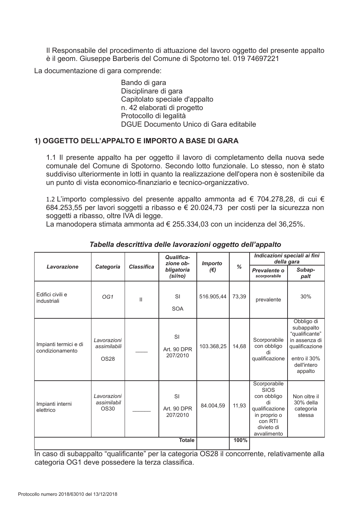Il Responsabile del procedimento di attuazione del lavoro oggetto del presente appalto è il geom. Giuseppe Barberis del Comune di Spotorno tel. 019 74697221

La documentazione di gara comprende:

Bando di gara Disciplinare di gara Capitolato speciale d'appalto n. 42 elaborati di progetto Protocollo di legalità DGUE Documento Unico di Gara editabile

# 1) OGGETTO DELL'APPALTO E IMPORTO A BASE DI GARA

1.1 Il presente appalto ha per oggetto il lavoro di completamento della nuova sede comunale del Comune di Spotorno. Secondo lotto funzionale. Lo stesso, non è stato suddiviso ulteriormente in lotti in quanto la realizzazione dell'opera non è sostenibile da un punto di vista economico-finanziario e tecnico-organizzativo.

1.2 L'importo complessivo del presente appalto ammonta ad € 704.278,28, di cui € 684.253,55 per lavori soggetti a ribasso e € 20.024,73 per costi per la sicurezza non soggetti a ribasso, oltre IVA di legge.

La manodopera stimata ammonta ad € 255.334,03 con un incidenza del 36,25%.

| Lavorazione                              | Categoria                                  | <b>Classifica</b> | <b>Qualifica-</b><br>zione ob-<br>bligatoria<br>(si/no) | <b>Importo</b><br>$(\epsilon)$ | $\%$  | Indicazioni speciali ai fini<br>della gara                                                                                 |                                                                                                                         |
|------------------------------------------|--------------------------------------------|-------------------|---------------------------------------------------------|--------------------------------|-------|----------------------------------------------------------------------------------------------------------------------------|-------------------------------------------------------------------------------------------------------------------------|
|                                          |                                            |                   |                                                         |                                |       | Prevalente o<br>scorporabile                                                                                               | Subap-<br>palt                                                                                                          |
| Edifici civili e<br>industriali          | OG <sub>1</sub>                            | $\mathbf{II}$     | <b>SI</b><br><b>SOA</b>                                 | 516.905,44                     | 73,39 | prevalente                                                                                                                 | 30%                                                                                                                     |
| Impianti termici e di<br>condizionamento | Lavorazioni<br>assimilabili<br><b>OS28</b> |                   | SI<br>Art. 90 DPR<br>207/2010                           | 103.368,25                     | 14.68 | Scorporabile<br>con obbligo<br>di<br>qualificazione                                                                        | Obbligo di<br>subappalto<br>"qualificante"<br>in assenza di<br>qualificazione<br>entro il 30%<br>dell'intero<br>appalto |
| Impianti interni<br>elettrico            | Lavorazioni<br>assimilabil<br><b>OS30</b>  |                   | <b>SI</b><br>Art. 90 DPR<br>207/2010                    | 84.004,59                      | 11,93 | Scorporabile<br><b>SIOS</b><br>con obbligo<br>di<br>qualificazione<br>in proprio o<br>con RTI<br>divieto di<br>avvalimento | Non oltre il<br>30% della<br>categoria<br>stessa                                                                        |
|                                          |                                            | 100%              |                                                         |                                |       |                                                                                                                            |                                                                                                                         |

# Tabella descrittiva delle lavorazioni oggetto dell'appalto

In caso di subappalto "qualificante" per la categoria OS28 il concorrente, relativamente alla categoria OG1 deve possedere la terza classifica.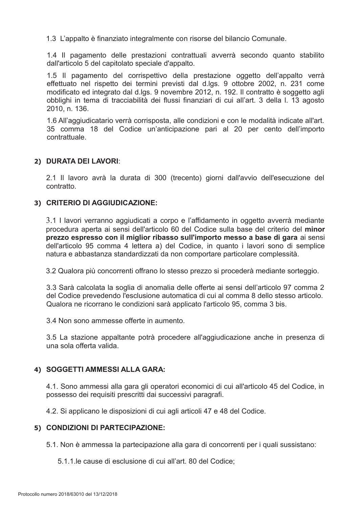1.3 L'appalto è finanziato integralmente con risorse del bilancio Comunale.

1.4 Il pagamento delle prestazioni contrattuali avverrà secondo quanto stabilito dall'articolo 5 del capitolato speciale d'appalto.

1.5 Il pagamento del corrispettivo della prestazione oggetto dell'appalto verrà effettuato nel rispetto dei termini previsti dal d.lgs. 9 ottobre 2002, n. 231 come modificato ed integrato dal d.lgs. 9 novembre 2012, n. 192. Il contratto è soggetto agli obblighi in tema di tracciabilità dei flussi finanziari di cui all'art. 3 della I. 13 agosto 2010, n. 136.

1.6 All'aggiudicatario verrà corrisposta, alle condizioni e con le modalità indicate all'art. 35 comma 18 del Codice un'anticipazione pari al 20 per cento dell'importo contrattuale

# 2) DURATA DEI LAVORI:

2.1 Il lavoro avrà la durata di 300 (trecento) giorni dall'avvio dell'esecuzione del contratto

#### 3) CRITERIO DI AGGIUDICAZIONE:

3.1 I lavori verranno aggiudicati a corpo e l'affidamento in oggetto avverrà mediante procedura aperta ai sensi dell'articolo 60 del Codice sulla base del criterio del minor prezzo espresso con il miglior ribasso sull'importo messo a base di gara ai sensi dell'articolo 95 comma 4 lettera a) del Codice, in quanto i lavori sono di semplice natura e abbastanza standardizzati da non comportare particolare complessità.

3.2 Qualora più concorrenti offrano lo stesso prezzo si procederà mediante sorteggio.

3.3 Sarà calcolata la soglia di anomalia delle offerte ai sensi dell'articolo 97 comma 2 del Codice prevedendo l'esclusione automatica di cui al comma 8 dello stesso articolo. Qualora ne ricorrano le condizioni sarà applicato l'articolo 95, comma 3 bis.

3.4 Non sono ammesse offerte in aumento.

3.5 La stazione appaltante potrà procedere all'aggiudicazione anche in presenza di una sola offerta valida

# 4) SOGGETTI AMMESSI ALLA GARA:

4.1. Sono ammessi alla gara gli operatori economici di cui all'articolo 45 del Codice, in possesso dei requisiti prescritti dai successivi paragrafi.

4.2. Si applicano le disposizioni di cui agli articoli 47 e 48 del Codice.

#### 5) CONDIZIONI DI PARTECIPAZIONE:

5.1. Non è ammessa la partecipazione alla gara di concorrenti per i quali sussistano:

5.1.1. le cause di esclusione di cui all'art. 80 del Codice;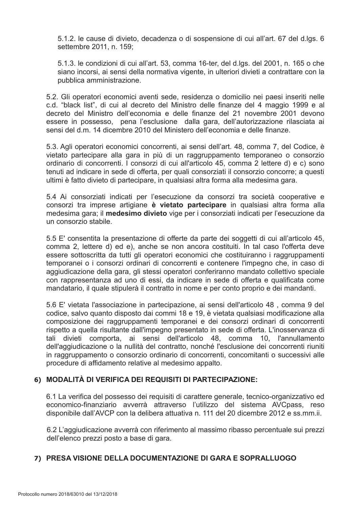5.1.2. le cause di divieto, decadenza o di sospensione di cui all'art. 67 del d.lgs. 6 settembre 2011, n. 159;

5.1.3. le condizioni di cui all'art. 53, comma 16-ter, del d.lgs. del 2001, n. 165 o che siano incorsi, ai sensi della normativa vigente, in ulteriori divieti a contrattare con la pubblica amministrazione.

5.2. Gli operatori economici aventi sede, residenza o domicilio nei paesi inseriti nelle c.d. "black list", di cui al decreto del Ministro delle finanze del 4 maggio 1999 e al decreto del Ministro dell'economia e delle finanze del 21 novembre 2001 devono essere in possesso, pena l'esclusione dalla gara, dell'autorizzazione rilasciata ai sensi del d.m. 14 dicembre 2010 del Ministero dell'economia e delle finanze.

5.3. Agli operatori economici concorrenti, ai sensi dell'art. 48, comma 7, del Codice, è vietato partecipare alla gara in più di un raggruppamento temporaneo o consorzio ordinario di concorrenti. I consorzi di cui all'articolo 45, comma 2 lettere d) e c) sono tenuti ad indicare in sede di offerta, per quali consorziati il consorzio concorre; a questi ultimi è fatto divieto di partecipare, in qualsiasi altra forma alla medesima gara.

5.4 Ai consorziati indicati per l'esecuzione da consorzi tra società cooperative e consorzi tra imprese artigiane è vietato partecipare in qualsiasi altra forma alla medesima gara; il medesimo divieto vige per i consorziati indicati per l'esecuzione da un consorzio stabile.

5.5 E' consentita la presentazione di offerte da parte dei soggetti di cui all'articolo 45, comma 2, lettere d) ed e), anche se non ancora costituiti. In tal caso l'offerta deve essere sottoscritta da tutti gli operatori economici che costituiranno i raggruppamenti temporanei o i consorzi ordinari di concorrenti e contenere l'impegno che, in caso di aggiudicazione della gara, gli stessi operatori conferiranno mandato collettivo speciale con rappresentanza ad uno di essi, da indicare in sede di offerta e qualificata come mandatario, il quale stipulerà il contratto in nome e per conto proprio e dei mandanti.

5.6 E' vietata l'associazione in partecipazione, ai sensi dell'articolo 48, comma 9 del codice, salvo quanto disposto dai commi 18 e 19, è vietata qualsiasi modificazione alla composizione dei raggruppamenti temporanei e dei consorzi ordinari di concorrenti rispetto a quella risultante dall'impegno presentato in sede di offerta. L'inosservanza di tali divieti comporta, ai sensi dell'articolo 48, comma 10, l'annullamento dell'aggiudicazione o la nullità del contratto, nonché l'esclusione dei concorrenti riuniti in raggruppamento o consorzio ordinario di concorrenti, concomitanti o successivi alle procedure di affidamento relative al medesimo appalto.

# 6) MODALITÀ DI VERIFICA DEI REQUISITI DI PARTECIPAZIONE:

6.1 La verifica del possesso dei requisiti di carattere generale, tecnico-organizzativo ed economico-finanziario avverrà attraverso l'utilizzo del sistema AVCpass, reso disponibile dall'AVCP con la delibera attuativa n. 111 del 20 dicembre 2012 e ss.mm.ii.

6.2 L'aggiudicazione avverrà con riferimento al massimo ribasso percentuale sui prezzi dell'elenco prezzi posto a base di gara.

# 7) PRESA VISIONE DELLA DOCUMENTAZIONE DI GARA E SOPRALLUOGO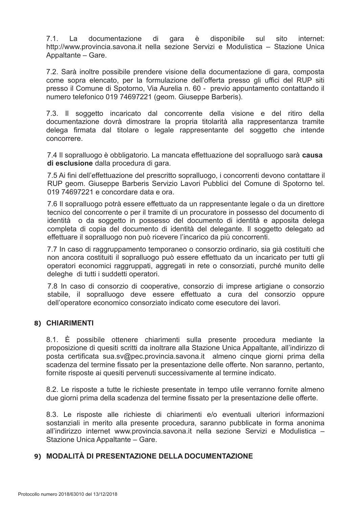7.1. La documentazione di gara è disponibile sito sul internet: http://www.provincia.savona.it nella sezione Servizi e Modulistica - Stazione Unica Appaltante - Gare.

7.2. Sarà inoltre possibile prendere visione della documentazione di gara, composta come sopra elencato, per la formulazione dell'offerta presso gli uffici del RUP siti presso il Comune di Spotorno, Via Aurelia n. 60 - previo appuntamento contattando il numero telefonico 019 74697221 (geom. Giuseppe Barberis).

7.3. Il soggetto incaricato dal concorrente della visione e del ritiro della documentazione dovrà dimostrare la propria titolarità alla rappresentanza tramite delega firmata dal titolare o legale rappresentante del soggetto che intende concorrere.

7.4 Il sopralluogo è obbligatorio. La mancata effettuazione del sopralluogo sarà causa di esclusione dalla procedura di gara.

7.5 Ai fini dell'effettuazione del prescritto sopralluogo, i concorrenti devono contattare il RUP geom. Giuseppe Barberis Servizio Lavori Pubblici del Comune di Spotorno tel. 019 74697221 e concordare data e ora.

7.6 Il sopralluogo potrà essere effettuato da un rappresentante legale o da un direttore tecnico del concorrente o per il tramite di un procuratore in possesso del documento di identità o da soggetto in possesso del documento di identità e apposita delega completa di copia del documento di identità del delegante. Il soggetto delegato ad effettuare il sopralluogo non può ricevere l'incarico da più concorrenti.

7.7 In caso di raggruppamento temporaneo o consorzio ordinario, sia già costituiti che non ancora costituiti il sopralluogo può essere effettuato da un incaricato per tutti gli operatori economici raggruppati, aggregati in rete o consorziati, purché munito delle deleghe di tutti i suddetti operatori.

7.8 In caso di consorzio di cooperative, consorzio di imprese artigiane o consorzio stabile. il sopralluogo deve essere effettuato a cura del consorzio oppure dell'operatore economico consorziato indicato come esecutore dei lavori.

# 8) CHIARIMENTI

8.1. È possibile ottenere chiarimenti sulla presente procedura mediante la proposizione di quesiti scritti da inoltrare alla Stazione Unica Appaltante, all'indirizzo di posta certificata sua.sv@pec.provincia.savona.it almeno cinque giorni prima della scadenza del termine fissato per la presentazione delle offerte. Non saranno, pertanto, fornite risposte ai quesiti pervenuti successivamente al termine indicato.

8.2. Le risposte a tutte le richieste presentate in tempo utile verranno fornite almeno due giorni prima della scadenza del termine fissato per la presentazione delle offerte.

8.3. Le risposte alle richieste di chiarimenti e/o eventuali ulteriori informazioni sostanziali in merito alla presente procedura, saranno pubblicate in forma anonima all'indirizzo internet www.provincia.savona.it nella sezione Servizi e Modulistica -Stazione Unica Appaltante – Gare.

# 9) MODALITÀ DI PRESENTAZIONE DELLA DOCUMENTAZIONE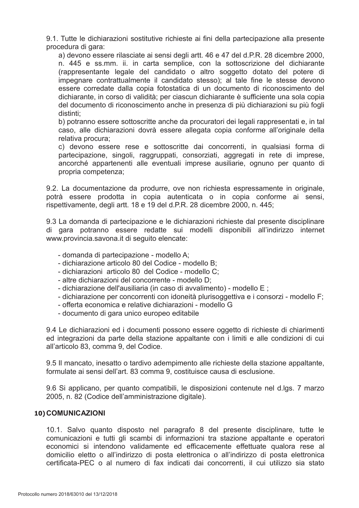9.1. Tutte le dichiarazioni sostitutive richieste ai fini della partecipazione alla presente procedura di gara:

a) devono essere rilasciate ai sensi degli artt. 46 e 47 del d.P.R. 28 dicembre 2000, n. 445 e ss.mm. ii. in carta semplice, con la sottoscrizione del dichiarante (rappresentante legale del candidato o altro soggetto dotato del potere di impegnare contrattualmente il candidato stesso); al tale fine le stesse devono essere corredate dalla copia fotostatica di un documento di riconoscimento del dichiarante, in corso di validità; per ciascun dichiarante è sufficiente una sola copia del documento di riconoscimento anche in presenza di più dichiarazioni su più fogli distinti:

b) potranno essere sottoscritte anche da procuratori dei legali rappresentati e, in tal caso, alle dichiarazioni dovrà essere allegata copia conforme all'originale della relativa procura;

c) devono essere rese e sottoscritte dai concorrenti, in qualsiasi forma di partecipazione, singoli, raggruppati, consorziati, aggregati in rete di imprese, ancorché appartenenti alle eventuali imprese ausiliarie, ognuno per quanto di propria competenza;

9.2. La documentazione da produrre, ove non richiesta espressamente in originale, potrà essere prodotta in copia autenticata o in copia conforme ai sensi, rispettivamente, degli artt. 18 e 19 del d.P.R. 28 dicembre 2000, n. 445;

9.3 La domanda di partecipazione e le dichiarazioni richieste dal presente disciplinare di gara potranno essere redatte sui modelli disponibili all'indirizzo internet www.provincia.savona.it di seguito elencate:

- domanda di partecipazione modello A;
- dichiarazione articolo 80 del Codice modello B;
- dichiarazioni articolo 80 del Codice modello C;
- altre dichiarazioni del concorrente modello D:
- dichiarazione dell'ausiliaria (in caso di avvalimento) modello E ;
- dichiarazione per concorrenti con idoneità plurisoggettiva e i consorzi modello F;
- offerta economica e relative dichiarazioni modello G
- documento di gara unico europeo editabile

9.4 Le dichiarazioni ed i documenti possono essere oggetto di richieste di chiarimenti ed integrazioni da parte della stazione appaltante con i limiti e alle condizioni di cui all'articolo 83, comma 9, del Codice.

9.5 Il mancato, inesatto o tardivo adempimento alle richieste della stazione appaltante, formulate ai sensi dell'art. 83 comma 9, costituisce causa di esclusione.

9.6 Si applicano, per quanto compatibili, le disposizioni contenute nel d.lgs. 7 marzo 2005, n. 82 (Codice dell'amministrazione digitale).

# 10) COMUNICAZIONI

10.1. Salvo quanto disposto nel paragrafo 8 del presente disciplinare, tutte le comunicazioni e tutti gli scambi di informazioni tra stazione appaltante e operatori economici si intendono validamente ed efficacemente effettuate qualora rese al domicilio eletto o all'indirizzo di posta elettronica o all'indirizzo di posta elettronica certificata-PEC o al numero di fax indicati dai concorrenti, il cui utilizzo sia stato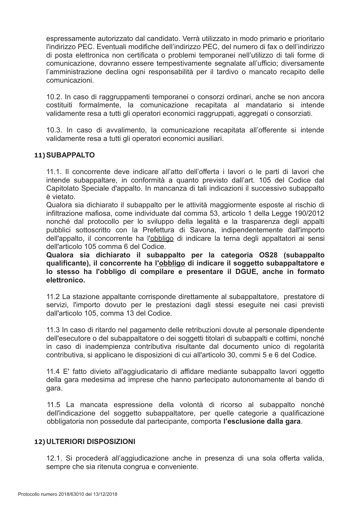espressamente autorizzato dal candidato. Verrà utilizzato in modo primario e prioritario l'indirizzo PEC. Eventuali modifiche dell'indirizzo PEC, del numero di fax o dell'indirizzo di posta elettronica non certificata o problemi temporanei nell'utilizzo di tali forme di comunicazione, dovranno essere tempestivamente segnalate all'ufficio; diversamente l'amministrazione declina ogni responsabilità per il tardivo o mancato recapito delle comunicazioni.

10.2. In caso di raggruppamenti temporanei o consorzi ordinari, anche se non ancora costituiti formalmente, la comunicazione recapitata al mandatario si intende validamente resa a tutti gli operatori economici raggruppati, aggregati o consorziati.

10.3. In caso di avvalimento, la comunicazione recapitata all'offerente si intende validamente resa a tutti gli operatori economici ausiliari.

# 11) SUBAPPALTO

11.1. Il concorrente deve indicare all'atto dell'offerta i lavori o le parti di lavori che intende subappaltare, in conformità a quanto previsto dall'art. 105 del Codice dal Capitolato Speciale d'appalto. In mancanza di tali indicazioni il successivo subappalto è vietato

Qualora sia dichiarato il subappalto per le attività maggiormente esposte al rischio di infiltrazione mafiosa, come individuate dal comma 53, articolo 1 della Legge 190/2012 nonché dal protocollo per lo sviluppo della legalità e la trasparenza degli appalti pubblici sottoscritto con la Prefettura di Savona, indipendentemente dall'importo dell'appalto, il concorrente ha l'obbligo di indicare la terna degli appaltatori ai sensi dell'articolo 105 comma 6 del Codice.

Qualora sia dichiarato il subappalto per la categoria OS28 (subappalto qualificante), il concorrente ha l'obbligo di indicare il soggetto subappaltatore e lo stesso ha l'obbligo di compilare e presentare il DGUE, anche in formato elettronico

11.2 La stazione appaltante corrisponde direttamente al subappaltatore, prestatore di servizi, l'importo dovuto per le prestazioni dagli stessi eseguite nei casi previsti dall'articolo 105, comma 13 del Codice.

11.3 In caso di ritardo nel pagamento delle retribuzioni dovute al personale dipendente dell'esecutore o del subappaltatore o dei soggetti titolari di subappalti e cottimi, nonché in caso di inadempienza contributiva risultante dal documento unico di regolarità contributiva, si applicano le disposizioni di cui all'articolo 30, commi 5 e 6 del Codice.

11.4 E' fatto divieto all'aggiudicatario di affidare mediante subappalto lavori oggetto della gara medesima ad imprese che hanno partecipato autonomamente al bando di gara.

11.5 La mancata espressione della volontà di ricorso al subappalto nonché dell'indicazione del soggetto subappaltatore, per quelle categorie a qualificazione obbligatoria non possedute dal partecipante, comporta l'esclusione dalla gara.

# 12) ULTERIORI DISPOSIZIONI

12.1. Si procederà all'aggiudicazione anche in presenza di una sola offerta valida, sempre che sia ritenuta congrua e conveniente.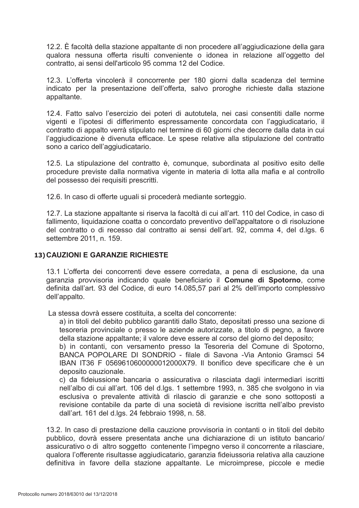12.2. È facoltà della stazione appaltante di non procedere all'aggiudicazione della gara qualora nessuna offerta risulti conveniente o idonea in relazione all'oggetto del contratto, ai sensi dell'articolo 95 comma 12 del Codice.

12.3. L'offerta vincolerà il concorrente per 180 giorni dalla scadenza del termine indicato per la presentazione dell'offerta, salvo proroghe richieste dalla stazione appaltante.

12.4. Fatto salvo l'esercizio dei poteri di autotutela, nei casi consentiti dalle norme vigenti e l'ipotesi di differimento espressamente concordata con l'aggiudicatario, il contratto di appalto verrà stipulato nel termine di 60 giorni che decorre dalla data in cui l'aggiudicazione è divenuta efficace. Le spese relative alla stipulazione del contratto sono a carico dell'aggiudicatario.

12.5. La stipulazione del contratto è, comunque, subordinata al positivo esito delle procedure previste dalla normativa vigente in materia di lotta alla mafia e al controllo del possesso dei requisiti prescritti.

12.6. In caso di offerte uguali si procederà mediante sorteggio.

12.7. La stazione appaltante si riserva la facoltà di cui all'art. 110 del Codice, in caso di fallimento, liquidazione coatta o concordato preventivo dell'appaltatore o di risoluzione del contratto o di recesso dal contratto ai sensi dell'art. 92, comma 4, del d.lgs. 6 settembre 2011, n. 159.

#### 13) CAUZIONI E GARANZIE RICHIESTE

13.1 L'offerta dei concorrenti deve essere corredata, a pena di esclusione, da una garanzia provvisoria indicando quale beneficiario il Comune di Spotorno, come definita dall'art. 93 del Codice, di euro 14.085,57 pari al 2% dell'importo complessivo dell'appalto.

La stessa dovrà essere costituita, a scelta del concorrente:

a) in titoli del debito pubblico garantiti dallo Stato, depositati presso una sezione di tesoreria provinciale o presso le aziende autorizzate, a titolo di pegno, a favore della stazione appaltante; il valore deve essere al corso del giorno del deposito;

b) in contanti, con versamento presso la Tesoreria del Comune di Spotorno, BANCA POPOLARE DI SONDRIO - filale di Savona -Via Antonio Gramsci 54 IBAN IT36 F 0569610600000012000X79. Il bonifico deve specificare che è un deposito cauzionale.

c) da fideiussione bancaria o assicurativa o rilasciata dagli intermediari iscritti nell'albo di cui all'art. 106 del d.lgs. 1 settembre 1993, n. 385 che svolgono in via esclusiva o prevalente attività di rilascio di garanzie e che sono sottoposti a revisione contabile da parte di una società di revisione iscritta nell'albo previsto dall'art. 161 del d.lgs. 24 febbraio 1998, n. 58.

13.2. In caso di prestazione della cauzione provvisoria in contanti o in titoli del debito pubblico, dovrà essere presentata anche una dichiarazione di un istituto bancario/ assicurativo o di altro soggetto contenente l'impegno verso il concorrente a rilasciare. gualora l'offerente risultasse aggiudicatario, garanzia fideiussoria relativa alla cauzione definitiva in favore della stazione appaltante. Le microimprese, piccole e medie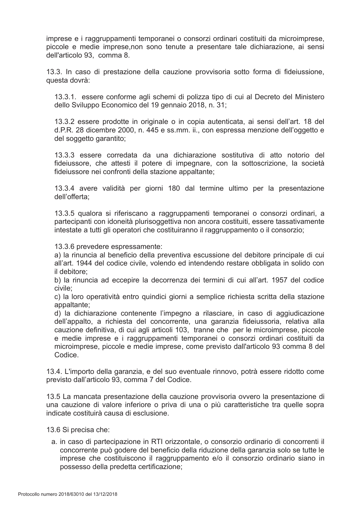imprese e i raggruppamenti temporanei o consorzi ordinari costituiti da microimprese, piccole e medie imprese, non sono tenute a presentare tale dichiarazione, ai sensi dell'articolo 93. comma 8.

13.3. In caso di prestazione della cauzione provvisoria sotto forma di fideiussione. questa dovrà:

13.3.1. essere conforme agli schemi di polizza tipo di cui al Decreto del Ministero dello Sviluppo Economico del 19 gennaio 2018, n. 31;

13.3.2 essere prodotte in originale o in copia autenticata, ai sensi dell'art. 18 del d.P.R. 28 dicembre 2000, n. 445 e ss.mm. ii., con espressa menzione dell'oggetto e del soggetto garantito;

13.3.3 essere corredata da una dichiarazione sostitutiva di atto notorio del fideiussore, che attesti il potere di impegnare, con la sottoscrizione, la società fideiussore nei confronti della stazione appaltante;

13.3.4 avere validità per giorni 180 dal termine ultimo per la presentazione dell'offerta:

13.3.5 qualora si riferiscano a raggruppamenti temporanei o consorzi ordinari, a partecipanti con idoneità plurisoggettiva non ancora costituiti, essere tassativamente intestate a tutti gli operatori che costituiranno il raggruppamento o il consorzio:

13.3.6 prevedere espressamente:

a) la rinuncia al beneficio della preventiva escussione del debitore principale di cui all'art. 1944 del codice civile, volendo ed intendendo restare obbligata in solido con il debitore:

b) la rinuncia ad eccepire la decorrenza dei termini di cui all'art. 1957 del codice civile:

c) la loro operatività entro quindici giorni a semplice richiesta scritta della stazione appaltante:

d) la dichiarazione contenente l'impegno a rilasciare, in caso di aggiudicazione dell'appalto, a richiesta del concorrente, una garanzia fideiussoria, relativa alla cauzione definitiva, di cui agli articoli 103, tranne che per le microimprese. piccole e medie imprese e i raggruppamenti temporanei o consorzi ordinari costituiti da microimprese, piccole e medie imprese, come previsto dall'articolo 93 comma 8 del Codice.

13.4. L'importo della garanzia, e del suo eventuale rinnovo, potrà essere ridotto come previsto dall'articolo 93, comma 7 del Codice.

13.5 La mancata presentazione della cauzione provvisoria ovvero la presentazione di una cauzione di valore inferiore o priva di una o più caratteristiche tra quelle sopra indicate costituirà causa di esclusione

13.6 Si precisa che:

a. in caso di partecipazione in RTI orizzontale, o consorzio ordinario di concorrenti il concorrente può godere del beneficio della riduzione della garanzia solo se tutte le imprese che costituiscono il raggruppamento e/o il consorzio ordinario siano in possesso della predetta certificazione: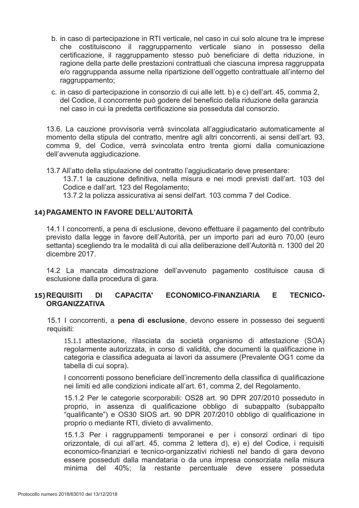- b. in caso di partecipazione in RTI verticale, nel caso in cui solo alcune tra le imprese che costituiscono il raggruppamento verticale siano in possesso della certificazione, il raggruppamento stesso può beneficiare di detta riduzione, in ragione della parte delle prestazioni contrattuali che ciascuna impresa raggruppata e/o raggruppanda assume nella ripartizione dell'oggetto contrattuale all'interno del raggruppamento;
- c. in caso di partecipazione in consorzio di cui alle lett. b) e c) dell'art. 45, comma 2, del Codice, il concorrente può godere del beneficio della riduzione della garanzia nel caso in cui la predetta certificazione sia posseduta dal consorzio.

13.6. La cauzione provvisoria verrà svincolata all'aggiudicatario automaticamente al momento della stipula del contratto, mentre agli altri concorrenti, ai sensi dell'art. 93, comma 9, del Codice, verrà svincolata entro trenta giorni dalla comunicazione dell'avvenuta aggiudicazione.

13.7 All'atto della stipulazione del contratto l'aggiudicatario deve presentare: 13.7.1 la cauzione definitiva, nella misura e nei modi previsti dall'art. 103 del Codice e dall'art. 123 del Regolamento; 13.7.2 la polizza assicurativa ai sensi dell'art. 103 comma 7 del Codice.

# 14) PAGAMENTO IN FAVORE DELL'AUTORITÀ

14.1 I concorrenti, a pena di esclusione, devono effettuare il pagamento del contributo previsto dalla legge in favore dell'Autorità, per un importo pari ad euro 70,00 (euro settanta) scegliendo tra le modalità di cui alla deliberazione dell'Autorità n. 1300 del 20 dicembre 2017.

14.2 La mancata dimostrazione dell'avvenuto pagamento costituisce causa di esclusione dalla procedura di gara.

#### ECONOMICO-FINANZIARIA DI L **CAPACITA'** E. **TECNICO-15) REQUISITI ORGANIZZATIVA**

15.1 I concorrenti, a pena di esclusione, devono essere in possesso dei sequenti requisiti:

15.1.1 attestazione, rilasciata da società organismo di attestazione (SOA) regolarmente autorizzata, in corso di validità, che documenti la qualificazione in categoria e classifica adeguata ai lavori da assumere (Prevalente OG1 come da tabella di cui sopra).

I concorrenti possono beneficiare dell'incremento della classifica di qualificazione nei limiti ed alle condizioni indicate all'art. 61, comma 2, del Regolamento.

15.1.2 Per le categorie scorporabili: OS28 art. 90 DPR 207/2010 posseduto in proprio, in assenza di qualificazione obbligo di subappalto (subappalto "qualificante") e OS30 SIOS art. 90 DPR 207/2010 obbligo di qualificazione in proprio o mediante RTI, divieto di avvalimento.

15.1.3 Per i raggruppamenti temporanei e per i consorzi ordinari di tipo orizzontale, di cui all'art. 45, comma 2 lettera d), e) e) del Codice, i requisiti economico-finanziari e tecnico-organizzativi richiesti nel bando di gara devono essere posseduti dalla mandataria o da una impresa consorziata nella misura posseduta minima del 40%; la restante percentuale deve essere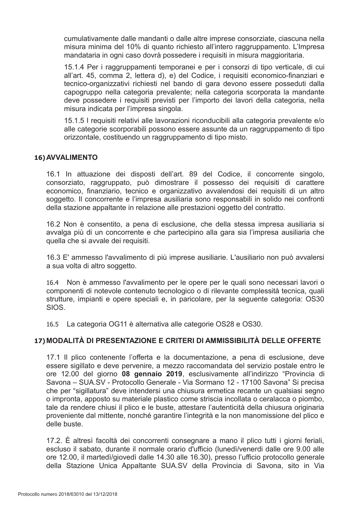cumulativamente dalle mandanti o dalle altre imprese consorziate, ciascuna nella misura minima del 10% di quanto richiesto all'intero raggruppamento. L'Impresa mandataria in ogni caso dovrà possedere i requisiti in misura maggioritaria.

15.1.4 Per i raggruppamenti temporanei e per i consorzi di tipo verticale, di cui all'art. 45, comma 2, lettera d), e) del Codice, i requisiti economico-finanziari e tecnico-organizzativi richiesti nel bando di gara devono essere posseduti dalla capogruppo nella categoria prevalente; nella categoria scorporata la mandante deve possedere i requisiti previsti per l'importo dei lavori della categoria, nella misura indicata per l'impresa singola.

15.1.5 I requisiti relativi alle lavorazioni riconducibili alla categoria prevalente e/o alle categorie scorporabili possono essere assunte da un raggruppamento di tipo orizzontale, costituendo un raggruppamento di tipo misto.

# 16) AVVALIMENTO

16.1 In attuazione dei disposti dell'art. 89 del Codice, il concorrente singolo, consorziato, raggruppato, può dimostrare il possesso dei requisiti di carattere economico, finanziario, tecnico e organizzativo avvalendosi dei requisiti di un altro soggetto. Il concorrente e l'impresa ausiliaria sono responsabili in solido nei confronti della stazione appaltante in relazione alle prestazioni oggetto del contratto.

16.2 Non è consentito, a pena di esclusione, che della stessa impresa ausiliaria si avvalga più di un concorrente e che partecipino alla gara sia l'impresa ausiliaria che quella che si avvale dei requisiti.

16.3 E' ammesso l'avvalimento di più imprese ausiliarie. L'ausiliario non può avvalersi a sua volta di altro soggetto.

16.4 Non è ammesso l'avvalimento per le opere per le quali sono necessari lavori o componenti di notevole contenuto tecnologico o di rilevante complessità tecnica, quali strutture, impianti e opere speciali e, in paricolare, per la seguente categoria: OS30 SIOS.

16.5 La categoria OG11 è alternativa alle categorie OS28 e OS30.

# 17) MODALITÀ DI PRESENTAZIONE E CRITERI DI AMMISSIBILITÀ DELLE OFFERTE

17.1 Il plico contenente l'offerta e la documentazione, a pena di esclusione, deve essere sigillato e deve pervenire, a mezzo raccomandata del servizio postale entro le ore 12.00 del giorno 08 gennaio 2019, esclusivamente all'indirizzo "Provincia di Savona – SUA.SV - Protocollo Generale - Via Sormano 12 - 17100 Savona" Si precisa che per "sigillatura" deve intendersi una chiusura ermetica recante un qualsiasi segno o impronta, apposto su materiale plastico come striscia incollata o ceralacca o piombo, tale da rendere chiusi il plico e le buste, attestare l'autenticità della chiusura originaria proveniente dal mittente, nonché garantire l'integrità e la non manomissione del plico e delle buste.

17.2. È altresì facoltà dei concorrenti consegnare a mano il plico tutti i giorni feriali, escluso il sabato, durante il normale orario d'ufficio (lunedì/venerdi dalle ore 9.00 alle ore 12.00, il martedì/giovedì dalle 14.30 alle 16.30), presso l'ufficio protocollo generale della Stazione Unica Appaltante SUA.SV della Provincia di Savona, sito in Via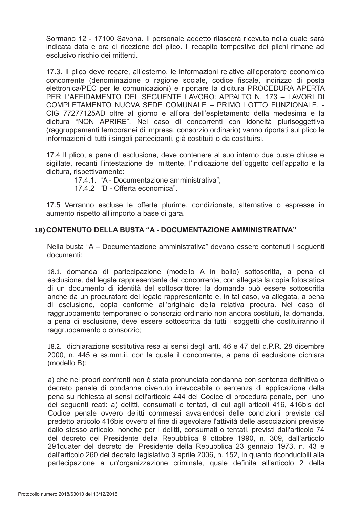Sormano 12 - 17100 Savona. Il personale addetto rilascerà ricevuta nella quale sarà indicata data e ora di ricezione del plico. Il recapito tempestivo dei plichi rimane ad esclusivo rischio dei mittenti.

17.3. Il plico deve recare, all'esterno, le informazioni relative all'operatore economico concorrente (denominazione o ragione sociale, codice fiscale, indirizzo di posta elettronica/PEC per le comunicazioni) e riportare la dicitura PROCEDURA APERTA PER L'AFFIDAMENTO DEL SEGUENTE LAVORO: APPALTO N. 173 - LAVORI DI COMPLETAMENTO NUOVA SEDE COMUNALE - PRIMO LOTTO FUNZIONALE. -CIG 77277125AD oltre al giorno e all'ora dell'espletamento della medesima e la dicitura "NON APRIRE". Nel caso di concorrenti con idoneità plurisoggettiva (raggruppamenti temporanei di impresa, consorzio ordinario) vanno riportati sul plico le informazioni di tutti i singoli partecipanti, già costituiti o da costituirsi.

17.4 Il plico, a pena di esclusione, deve contenere al suo interno due buste chiuse e sigillate, recanti l'intestazione del mittente, l'indicazione dell'oggetto dell'appalto e la dicitura, rispettivamente:

17.4.1. "A - Documentazione amministrativa";

17 4 2 "B - Offerta economica".

17.5 Verranno escluse le offerte plurime, condizionate, alternative o espresse in aumento rispetto all'importo a base di gara.

# 18) CONTENUTO DELLA BUSTA "A - DOCUMENTAZIONE AMMINISTRATIVA"

Nella busta "A - Documentazione amministrativa" devono essere contenuti i seguenti documenti:

18.1. domanda di partecipazione (modello A in bollo) sottoscritta, a pena di esclusione, dal legale rappresentante del concorrente, con allegata la copia fotostatica di un documento di identità del sottoscrittore; la domanda può essere sottoscritta anche da un procuratore del legale rappresentante e, in tal caso, va allegata, a pena di esclusione, copia conforme all'originale della relativa procura. Nel caso di raggruppamento temporaneo o consorzio ordinario non ancora costituiti, la domanda, a pena di esclusione, deve essere sottoscritta da tutti i soggetti che costituiranno il raggruppamento o consorzio;

18.2. dichiarazione sostitutiva resa ai sensi degli artt. 46 e 47 del d.P.R. 28 dicembre 2000, n. 445 e ss.mm.ii. con la quale il concorrente, a pena di esclusione dichiara (modello B):

a) che nei propri confronti non è stata pronunciata condanna con sentenza definitiva o decreto penale di condanna divenuto irrevocabile o sentenza di applicazione della pena su richiesta ai sensi dell'articolo 444 del Codice di procedura penale, per uno dei seguenti reati: a) delitti, consumati o tentati, di cui agli articoli 416, 416bis del Codice penale ovvero delitti commessi avvalendosi delle condizioni previste dal predetto articolo 416bis ovvero al fine di agevolare l'attività delle associazioni previste dallo stesso articolo, nonché per i delitti, consumati o tentati, previsti dall'articolo 74 del decreto del Presidente della Repubblica 9 ottobre 1990, n. 309, dall'articolo 291 quater del decreto del Presidente della Repubblica 23 gennaio 1973, n. 43 e dall'articolo 260 del decreto legislativo 3 aprile 2006, n. 152, in quanto riconducibili alla partecipazione a un'organizzazione criminale, quale definita all'articolo 2 della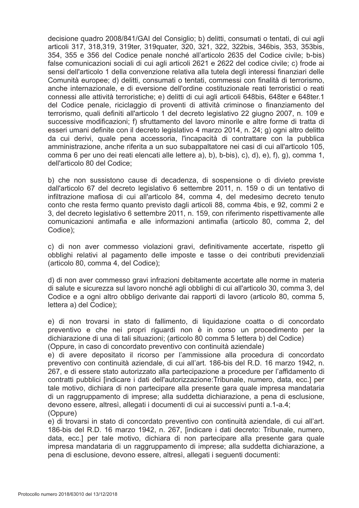decisione quadro 2008/841/GAI del Consiglio: b) delitti, consumati o tentati, di cui agli articoli 317, 318, 319, 319 ter, 319 quater, 320, 321, 322, 322 bis, 346 bis, 353, 353 bis, 354, 355 e 356 del Codice penale nonché all'articolo 2635 del Codice civile; b-bis) false comunicazioni sociali di cui agli articoli 2621 e 2622 del codice civile; c) frode ai sensi dell'articolo 1 della convenzione relativa alla tutela degli interessi finanziari delle Comunità europee; d) delitti, consumati o tentati, commessi con finalità di terrorismo, anche internazionale, e di eversione dell'ordine costituzionale reati terroristici o reati connessi alle attività terroristiche; e) delitti di cui agli articoli 648bis, 648ter e 648ter.1 del Codice penale, riciclaggio di proventi di attività criminose o finanziamento del terrorismo, quali definiti all'articolo 1 del decreto legislativo 22 giugno 2007, n. 109 e successive modificazioni; f) sfruttamento del lavoro minorile e altre forme di tratta di esseri umani definite con il decreto legislativo 4 marzo 2014, n. 24; g) ogni altro delitto da cui derivi, quale pena accessoria, l'incapacità di contrattare con la pubblica amministrazione, anche riferita a un suo subappaltatore nei casi di cui all'articolo 105, comma 6 per uno dei reati elencati alle lettere a), b), b-bis), c), d), e), f), g), comma 1, dell'articolo 80 del Codice;

b) che non sussistono cause di decadenza, di sospensione o di divieto previste dall'articolo 67 del decreto legislativo 6 settembre 2011, n. 159 o di un tentativo di infiltrazione mafiosa di cui all'articolo 84, comma 4, del medesimo decreto tenuto conto che resta fermo quanto previsto dagli articoli 88, comma 4bis, e 92, commi 2 e 3, del decreto legislativo 6 settembre 2011, n. 159, con riferimento rispettivamente alle comunicazioni antimafia e alle informazioni antimafia (articolo 80, comma 2, del Codice);

c) di non aver commesso violazioni gravi, definitivamente accertate, rispetto gli obblighi relativi al pagamento delle imposte e tasse o dei contributi previdenziali (articolo 80, comma 4, del Codice);

d) di non aver commesso gravi infrazioni debitamente accertate alle norme in materia di salute e sicurezza sul lavoro nonché agli obblighi di cui all'articolo 30, comma 3, del Codice e a ogni altro obbligo derivante dai rapporti di lavoro (articolo 80, comma 5, lettera a) del Codice);

e) di non trovarsi in stato di fallimento, di liquidazione coatta o di concordato preventivo e che nei propri riguardi non è in corso un procedimento per la dichiarazione di una di tali situazioni; (articolo 80 comma 5 lettera b) del Codice) (Oppure, in caso di concordato preventivo con continuità aziendale)

e) di avere depositato il ricorso per l'ammissione alla procedura di concordato preventivo con continuità aziendale, di cui all'art. 186-bis del R.D. 16 marzo 1942, n. 267, e di essere stato autorizzato alla partecipazione a procedure per l'affidamento di contratti pubblici lindicare i dati dell'autorizzazione: Tribunale, numero, data, ecc.] per tale motivo, dichiara di non partecipare alla presente gara quale impresa mandataria di un raggruppamento di imprese; alla suddetta dichiarazione, a pena di esclusione, devono essere, altresì, allegati i documenti di cui ai successivi punti a.1-a.4; (Oppure)

e) di trovarsi in stato di concordato preventivo con continuità aziendale, di cui all'art. 186-bis del R.D. 16 marzo 1942, n. 267, [indicare i dati decreto: Tribunale, numero, data, ecc.] per tale motivo, dichiara di non partecipare alla presente gara quale impresa mandataria di un raggruppamento di imprese: alla suddetta dichiarazione, a pena di esclusione, devono essere, altresì, allegati i sequenti documenti: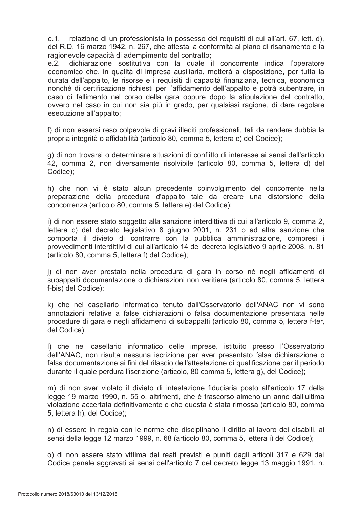relazione di un professionista in possesso dei requisiti di cui all'art. 67, lett. d), e.1. del R.D. 16 marzo 1942, n. 267, che attesta la conformità al piano di risanamento e la ragionevole capacità di adempimento del contratto;

 $e.2.$ dichiarazione sostitutiva con la quale il concorrente indica l'operatore economico che, in qualità di impresa ausiliaria, metterà a disposizione, per tutta la durata dell'appalto, le risorse e i requisiti di capacità finanziaria, tecnica, economica nonché di certificazione richiesti per l'affidamento dell'appalto e potrà subentrare, in caso di fallimento nel corso della gara oppure dopo la stipulazione del contratto, ovvero nel caso in cui non sia più in grado, per qualsiasi ragione, di dare regolare esecuzione all'appalto:

f) di non essersi reso colpevole di gravi illeciti professionali, tali da rendere dubbia la propria integrità o affidabilità (articolo 80, comma 5, lettera c) del Codice);

g) di non trovarsi o determinare situazioni di conflitto di interesse ai sensi dell'articolo 42, comma 2, non diversamente risolvibile (articolo 80, comma 5, lettera d) del Codice);

h) che non vi è stato alcun precedente coinvolgimento del concorrente nella preparazione della procedura d'appalto tale da creare una distorsione della concorrenza (articolo 80, comma 5, lettera e) del Codice);

i) di non essere stato soggetto alla sanzione interdittiva di cui all'articolo 9, comma 2, lettera c) del decreto legislativo 8 giugno 2001, n. 231 o ad altra sanzione che comporta il divieto di contrarre con la pubblica amministrazione, compresi i provvedimenti interdittivi di cui all'articolo 14 del decreto legislativo 9 aprile 2008, n. 81 (articolo 80, comma 5, lettera f) del Codice);

j) di non aver prestato nella procedura di gara in corso nè negli affidamenti di subappalti documentazione o dichiarazioni non veritiere (articolo 80, comma 5, lettera f-bis) del Codice);

k) che nel casellario informatico tenuto dall'Osservatorio dell'ANAC non vi sono annotazioni relative a false dichiarazioni o falsa documentazione presentata nelle procedure di gara e negli affidamenti di subappalti (articolo 80, comma 5, lettera f-ter, del Codice):

I) che nel casellario informatico delle imprese, istituito presso l'Osservatorio dell'ANAC, non risulta nessuna iscrizione per aver presentato falsa dichiarazione o falsa documentazione ai fini del rilascio dell'attestazione di qualificazione per il periodo durante il quale perdura l'iscrizione (articolo, 80 comma 5, lettera g), del Codice);

m) di non aver violato il divieto di intestazione fiduciaria posto all'articolo 17 della legge 19 marzo 1990, n. 55 o, altrimenti, che è trascorso almeno un anno dall'ultima violazione accertata definitivamente e che questa è stata rimossa (articolo 80, comma 5. lettera h), del Codice):

n) di essere in regola con le norme che disciplinano il diritto al lavoro dei disabili, ai sensi della legge 12 marzo 1999, n. 68 (articolo 80, comma 5, lettera i) del Codice);

o) di non essere stato vittima dei reati previsti e puniti dagli articoli 317 e 629 del Codice penale aggravati ai sensi dell'articolo 7 del decreto legge 13 maggio 1991, n.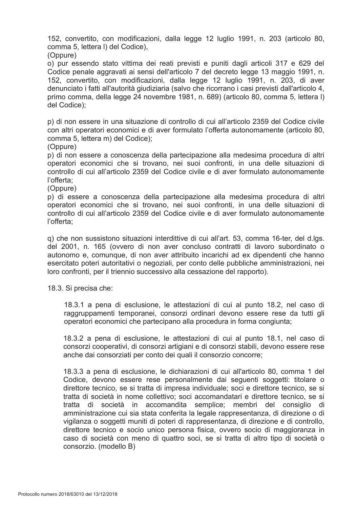152, convertito, con modificazioni, dalla legge 12 luglio 1991, n. 203 (articolo 80, comma 5, lettera I) del Codice),

(Oppure)

o) pur essendo stato vittima dei reati previsti e puniti dagli articoli 317 e 629 del Codice penale aggravati ai sensi dell'articolo 7 del decreto legge 13 maggio 1991, n. 152, convertito, con modificazioni, dalla legge 12 luglio 1991, n. 203, di aver denunciato i fatti all'autorità giudiziaria (salvo che ricorrano i casi previsti dall'articolo 4, primo comma, della legge 24 novembre 1981, n. 689) (articolo 80, comma 5, lettera I) del Codice);

p) di non essere in una situazione di controllo di cui all'articolo 2359 del Codice civile con altri operatori economici e di aver formulato l'offerta autonomamente (articolo 80, comma 5, lettera m) del Codice);

(Oppure)

p) di non essere a conoscenza della partecipazione alla medesima procedura di altri operatori economici che si trovano, nei suoi confronti, in una delle situazioni di controllo di cui all'articolo 2359 del Codice civile e di aver formulato autonomamente l'offerta:

(Oppure)

p) di essere a conoscenza della partecipazione alla medesima procedura di altri operatori economici che si trovano, nei suoi confronti, in una delle situazioni di controllo di cui all'articolo 2359 del Codice civile e di aver formulato autonomamente l'offerta:

g) che non sussistono situazioni interdittive di cui all'art. 53, comma 16-ter, del d.lgs. del 2001, n. 165 (ovvero di non aver concluso contratti di lavoro subordinato o autonomo e, comunque, di non aver attribuito incarichi ad ex dipendenti che hanno esercitato poteri autoritativi o negoziali, per conto delle pubbliche amministrazioni, nei loro confronti, per il triennio successivo alla cessazione del rapporto).

18.3. Si precisa che:

18.3.1 a pena di esclusione, le attestazioni di cui al punto 18.2, nel caso di raggruppamenti temporanei, consorzi ordinari devono essere rese da tutti gli operatori economici che partecipano alla procedura in forma congiunta;

18.3.2 a pena di esclusione, le attestazioni di cui al punto 18.1, nel caso di consorzi cooperativi, di consorzi artigiani e di consorzi stabili, devono essere rese anche dai consorziati per conto dei quali il consorzio concorre;

18.3.3 a pena di esclusione, le dichiarazioni di cui all'articolo 80, comma 1 del Codice, devono essere rese personalmente dai sequenti soggetti: titolare o direttore tecnico, se si tratta di impresa individuale; soci e direttore tecnico, se si tratta di società in nome collettivo: soci accomandatari e direttore tecnico, se si tratta di società in accomandita semplice; membri del consiglio di amministrazione cui sia stata conferita la legale rappresentanza, di direzione o di vigilanza o soggetti muniti di poteri di rappresentanza, di direzione e di controllo, direttore tecnico e socio unico persona fisica, ovvero socio di maggioranza in caso di società con meno di quattro soci, se si tratta di altro tipo di società o consorzio. (modello B)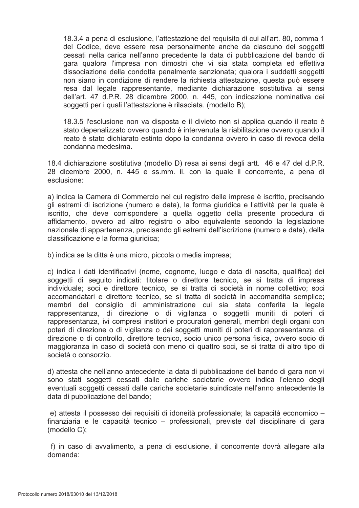18.3.4 a pena di esclusione. l'attestazione del requisito di cui all'art. 80, comma 1 del Codice, deve essere resa personalmente anche da ciascuno dei soggetti cessati nella carica nell'anno precedente la data di pubblicazione del bando di gara gualora l'impresa non dimostri che vi sia stata completa ed effettiva dissociazione della condotta penalmente sanzionata: qualora i suddetti soggetti non siano in condizione di rendere la richiesta attestazione, questa può essere resa dal legale rappresentante, mediante dichiarazione sostitutiva ai sensi dell'art. 47 d.P.R. 28 dicembre 2000, n. 445, con indicazione nominativa dei soggetti per i quali l'attestazione è rilasciata. (modello B);

18.3.5 l'esclusione non va disposta e il divieto non si applica quando il reato è stato depenalizzato ovvero quando è intervenuta la riabilitazione ovvero quando il reato è stato dichiarato estinto dopo la condanna ovvero in caso di revoca della condanna medesima.

18.4 dichiarazione sostitutiva (modello D) resa ai sensi degli artt. 46 e 47 del d.P.R. 28 dicembre 2000, n. 445 e ss.mm. ii. con la quale il concorrente, a pena di esclusione:

a) indica la Camera di Commercio nel cui registro delle imprese è iscritto, precisando gli estremi di iscrizione (numero e data), la forma giuridica e l'attività per la quale è iscritto, che deve corrispondere a quella oggetto della presente procedura di affidamento, ovvero ad altro registro o albo eguivalente secondo la legislazione nazionale di appartenenza, precisando gli estremi dell'iscrizione (numero e data), della classificazione e la forma giuridica:

b) indica se la ditta è una micro, piccola o media impresa;

c) indica i dati identificativi (nome, cognome, luogo e data di nascita, qualifica) dei soggetti di seguito indicati: titolare o direttore tecnico, se si tratta di impresa individuale; soci e direttore tecnico, se si tratta di società in nome collettivo; soci accomandatari e direttore tecnico, se si tratta di società in accomandita semplice; membri del consiglio di amministrazione cui sia stata conferita la legale rappresentanza, di direzione o di vigilanza o soggetti muniti di poteri di rappresentanza, ivi compresi institori e procuratori generali, membri degli organi con poteri di direzione o di vigilanza o dei soggetti muniti di poteri di rappresentanza, di direzione o di controllo, direttore tecnico, socio unico persona fisica, ovvero socio di maggioranza in caso di società con meno di quattro soci, se si tratta di altro tipo di società o consorzio.

d) attesta che nell'anno antecedente la data di pubblicazione del bando di gara non vi sono stati soggetti cessati dalle cariche societarie ovvero indica l'elenco degli eventuali soggetti cessati dalle cariche societarie suindicate nell'anno antecedente la data di pubblicazione del bando:

e) attesta il possesso dei requisiti di idoneità professionale; la capacità economico finanziaria e le capacità tecnico – professionali, previste dal disciplinare di gara  $(modello C);$ 

f) in caso di avvalimento, a pena di esclusione, il concorrente dovrà allegare alla domanda: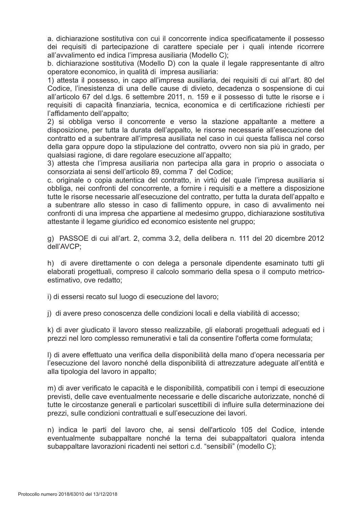a. dichiarazione sostitutiva con cui il concorrente indica specificatamente il possesso dei requisiti di partecipazione di carattere speciale per i quali intende ricorrere all'avvalimento ed indica l'impresa ausiliaria (Modello C);

b. dichiarazione sostitutiva (Modello D) con la quale il legale rappresentante di altro operatore economico, in qualità di impresa ausiliaria:

1) attesta il possesso, in capo all'impresa ausiliaria, dei requisiti di cui all'art. 80 del Codice, l'inesistenza di una delle cause di divieto, decadenza o sospensione di cui all'articolo 67 del d.lgs. 6 settembre 2011, n. 159 e il possesso di tutte le risorse e i requisiti di capacità finanziaria, tecnica, economica e di certificazione richiesti per l'affidamento dell'appalto:

2) si obbliga verso il concorrente e verso la stazione appaltante a mettere a disposizione, per tutta la durata dell'appalto, le risorse necessarie all'esecuzione del contratto ed a subentrare all'impresa ausiliata nel caso in cui questa fallisca nel corso della gara oppure dopo la stipulazione del contratto, ovvero non sia più in grado, per qualsiasi ragione, di dare regolare esecuzione all'appalto;

3) attesta che l'impresa ausiliaria non partecipa alla gara in proprio o associata o consorziata ai sensi dell'articolo 89, comma 7 del Codice;

c. originale o copia autentica del contratto, in virtù del quale l'impresa ausiliaria si obbliga, nei confronti del concorrente, a fornire i requisiti e a mettere a disposizione tutte le risorse necessarie all'esecuzione del contratto, per tutta la durata dell'appalto e a subentrare allo stesso in caso di fallimento oppure, in caso di avvalimento nei confronti di una impresa che appartiene al medesimo gruppo, dichiarazione sostitutiva attestante il legame giuridico ed economico esistente nel gruppo:

g) PASSOE di cui all'art. 2, comma 3.2, della delibera n. 111 del 20 dicembre 2012 dell'AVCP;

h) di avere direttamente o con delega a personale dipendente esaminato tutti gli elaborati progettuali, compreso il calcolo sommario della spesa o il computo metricoestimativo, ove redatto;

i) di essersi recato sul luogo di esecuzione del lavoro;

i) di avere preso conoscenza delle condizioni locali e della viabilità di accesso;

k) di aver giudicato il lavoro stesso realizzabile, gli elaborati progettuali adeguati ed i prezzi nel loro complesso remunerativi e tali da consentire l'offerta come formulata;

I) di avere effettuato una verifica della disponibilità della mano d'opera necessaria per l'esecuzione del lavoro nonché della disponibilità di attrezzature adeguate all'entità e alla tipologia del lavoro in appalto:

m) di aver verificato le capacità e le disponibilità, compatibili con i tempi di esecuzione previsti, delle cave eventualmente necessarie e delle discariche autorizzate, nonché di tutte le circostanze generali e particolari suscettibili di influire sulla determinazione dei prezzi, sulle condizioni contrattuali e sull'esecuzione dei lavori.

n) indica le parti del lavoro che, ai sensi dell'articolo 105 del Codice, intende eventualmente subappaltare nonché la terna dei subappaltatori qualora intenda subappaltare lavorazioni ricadenti nei settori c.d. "sensibili" (modello C):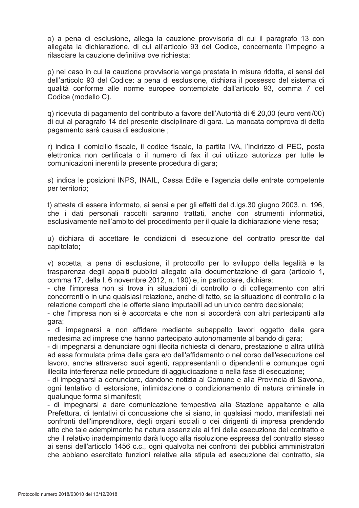o) a pena di esclusione, allega la cauzione provvisoria di cui il paragrafo 13 con allegata la dichiarazione, di cui all'articolo 93 del Codice, concernente l'impegno a rilasciare la cauzione definitiva ove richiesta:

p) nel caso in cui la cauzione provvisoria venga prestata in misura ridotta, ai sensi del dell'articolo 93 del Codice: a pena di esclusione, dichiara il possesso del sistema di qualità conforme alle norme europee contemplate dall'articolo 93, comma 7 del Codice (modello C).

g) ricevuta di pagamento del contributo a favore dell'Autorità di € 20,00 (euro venti/00) di cui al paragrafo 14 del presente disciplinare di gara. La mancata comprova di detto pagamento sarà causa di esclusione :

r) indica il domicilio fiscale, il codice fiscale, la partita IVA, l'indirizzo di PEC, posta elettronica non certificata o il numero di fax il cui utilizzo autorizza per tutte le comunicazioni inerenti la presente procedura di gara;

s) indica le posizioni INPS, INAIL, Cassa Edile e l'agenzia delle entrate competente per territorio;

t) attesta di essere informato, ai sensi e per gli effetti del d.lgs.30 giugno 2003, n. 196, che i dati personali raccolti saranno trattati, anche con strumenti informatici, esclusivamente nell'ambito del procedimento per il quale la dichiarazione viene resa;

u) dichiara di accettare le condizioni di esecuzione del contratto prescritte dal capitolato:

v) accetta, a pena di esclusione, il protocollo per lo sviluppo della legalità e la trasparenza degli appalti pubblici allegato alla documentazione di gara (articolo 1, comma 17, della I. 6 novembre 2012, n. 190) e, in particolare, dichiara:

- che l'impresa non si trova in situazioni di controllo o di collegamento con altri concorrenti o in una qualsiasi relazione, anche di fatto, se la situazione di controllo o la relazione comporti che le offerte siano imputabili ad un unico centro decisionale;

- che l'impresa non si è accordata e che non si accorderà con altri partecipanti alla qara:

- di impegnarsi a non affidare mediante subappalto lavori oggetto della gara medesima ad imprese che hanno partecipato autonomamente al bando di gara;

- di impegnarsi a denunciare ogni illecita richiesta di denaro, prestazione o altra utilità ad essa formulata prima della gara e/o dell'affidamento o nel corso dell'esecuzione del lavoro, anche attraverso suoi agenti, rappresentanti o dipendenti e comunque ogni illecita interferenza nelle procedure di aggiudicazione o nella fase di esecuzione;

- di impegnarsi a denunciare, dandone notizia al Comune e alla Provincia di Savona, ogni tentativo di estorsione, intimidazione o condizionamento di natura criminale in qualunque forma si manifesti;

- di impegnarsi a dare comunicazione tempestiva alla Stazione appaltante e alla Prefettura, di tentativi di concussione che si siano, in qualsiasi modo, manifestati nei confronti dell'imprenditore, degli organi sociali o dei dirigenti di impresa prendendo atto che tale adempimento ha natura essenziale ai fini della esecuzione del contratto e che il relativo inadempimento darà luogo alla risoluzione espressa del contratto stesso ai sensi dell'articolo 1456 c.c., ogni qualvolta nei confronti dei pubblici amministratori che abbiano esercitato funzioni relative alla stipula ed esecuzione del contratto, sia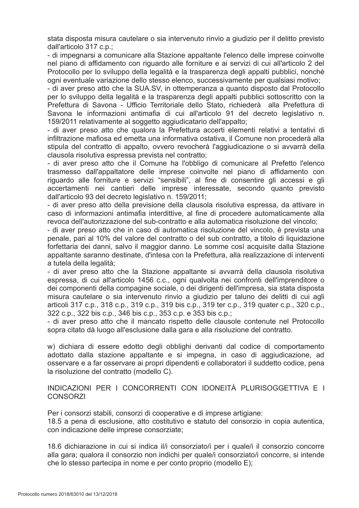stata disposta misura cautelare o sia intervenuto rinvio a giudizio per il delitto previsto dall'articolo 317 c.p.;

- di impegnarsi a comunicare alla Stazione appaltante l'elenco delle imprese coinvolte nel piano di affidamento con riguardo alle forniture e ai servizi di cui all'articolo 2 del Protocollo per lo sviluppo della legalità e la trasparenza degli appalti pubblici, nonché ogni eventuale variazione dello stesso elenco, successivamente per qualsiasi motivo;

- di aver preso atto che la SUA.SV, in ottemperanza a quanto disposto dal Protocollo per lo sviluppo della legalità e la trasparenza degli appalti pubblici sottoscritto con la Prefettura di Savona - Ufficio Territoriale dello Stato, richiederà alla Prefettura di Savona le informazioni antimafia di cui all'articolo 91 del decreto legislativo n. 159/2011 relativamente al soggetto aggiudicatario dell'appalto;

- di aver preso atto che qualora la Prefettura accerti elementi relativi a tentativi di infiltrazione mafiosa ed emetta una informativa ostativa, il Comune non procederà alla stipula del contratto di appalto, ovvero revocherà l'aggiudicazione o si avvarrà della clausola risolutiva espressa prevista nel contratto;

- di aver preso atto che il Comune ha l'obbligo di comunicare al Prefetto l'elenco trasmesso dall'appaltatore delle imprese coinvolte nel piano di affidamento con riguardo alle forniture e servizi "sensibili", al fine di consentire gli accessi e gli accertamenti nei cantieri delle imprese interessate, secondo quanto previsto dall'articolo 93 del decreto legislativo n. 159/2011:

- di aver preso atto della previsione della clausola risolutiva espressa, da attivare in caso di informazioni antimafia interdittive, al fine di procedere automaticamente alla revoca dell'autorizzazione del sub-contratto e alla automatica risoluzione del vincolo:

- di aver preso atto che in caso di automatica risoluzione del vincolo, è prevista una penale, pari al 10% del valore del contratto o del sub contratto, a titolo di liguidazione forfettaria dei danni, salvo il maggior danno. Le somme così acquisite dalla Stazione appaltante saranno destinate, d'intesa con la Prefettura, alla realizzazione di interventi a tutela della legalità;

- di aver preso atto che la Stazione appaltante si avvarrà della clausola risolutiva espressa, di cui all'articolo 1456 c.c., ogni qualvolta nei confronti dell'imprenditore o dei componenti della compagine sociale, o dei dirigenti dell'impresa, sia stata disposta misura cautelare o sia intervenuto rinvio a giudizio per taluno dei delitti di cui agli articoli 317 c.p., 318 c.p., 319 c.p., 319 bis c.p., 319 ter c.p., 319 quater c.p., 320 c.p., 322 c.p., 322 bis c.p., 346 bis c.p., 353 c.p. e 353 bis c.p.;

- di aver preso atto che il mancato rispetto delle clausole contenute nel Protocollo sopra citato dà luogo all'esclusione dalla gara e alla risoluzione del contratto.

w) dichiara di essere edotto degli obblighi derivanti dal codice di comportamento adottato dalla stazione appaltante e si impegna, in caso di aggiudicazione, ad osservare e a far osservare ai propri dipendenti e collaboratori il suddetto codice, pena la risoluzione del contratto (modello C).

INDICAZIONI PER I CONCORRENTI CON IDONEITÀ PLURISOGGETTIVA E I **CONSORZI** 

Per i consorzi stabili, consorzi di cooperative e di imprese artigiane: 18.5 a pena di esclusione, atto costitutivo e statuto del consorzio in copia autentica. con indicazione delle imprese consorziate;

18.6 dichiarazione in cui si indica il/i consorziato/i per i quale/i il consorzio concorre alla gara; qualora il consorzio non indichi per quale/i consorziato/i concorre, si intende che lo stesso partecipa in nome e per conto proprio (modello E);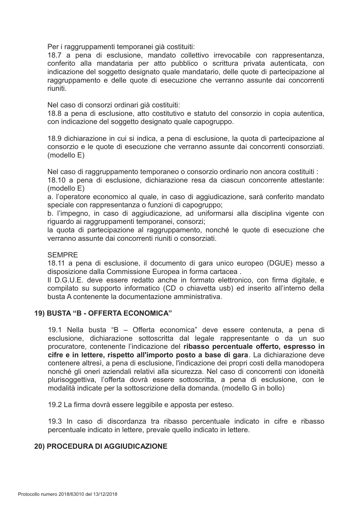Per i raggruppamenti temporanei già costituiti:

18.7 a pena di esclusione, mandato collettivo irrevocabile con rappresentanza, conferito alla mandataria per atto pubblico o scrittura privata autenticata, con indicazione del soggetto designato quale mandatario, delle quote di partecipazione al raggruppamento e delle quote di esecuzione che verranno assunte dai concorrenti riuniti.

Nel caso di consorzi ordinari già costituiti:

18.8 a pena di esclusione, atto costitutivo e statuto del consorzio in copia autentica, con indicazione del soggetto designato quale capogruppo.

18.9 dichiarazione in cui si indica, a pena di esclusione, la quota di partecipazione al consorzio e le quote di esecuzione che verranno assunte dai concorrenti consorziati.  $(modello E)$ 

Nel caso di raggruppamento temporaneo o consorzio ordinario non ancora costituiti :

18.10 a pena di esclusione, dichiarazione resa da ciascun concorrente attestante:  $(modello E)$ 

a. l'operatore economico al quale, in caso di aggiudicazione, sarà conferito mandato speciale con rappresentanza o funzioni di capogruppo:

b. l'impegno, in caso di aggiudicazione, ad uniformarsi alla disciplina vigente con riguardo ai raggruppamenti temporanei, consorzi;

la quota di partecipazione al raggruppamento, nonché le quote di esecuzione che verranno assunte dai concorrenti riuniti o consorziati.

#### **SEMPRE**

18.11 a pena di esclusione, il documento di gara unico europeo (DGUE) messo a disposizione dalla Commissione Europea in forma cartacea.

Il D.G.U.E. deve essere redatto anche in formato elettronico, con firma digitale, e compilato su supporto informatico (CD o chiavetta usb) ed inserito all'interno della busta A contenente la documentazione amministrativa

# 19) BUSTA "B - OFFERTA ECONOMICA"

19.1 Nella busta "B - Offerta economica" deve essere contenuta, a pena di esclusione, dichiarazione sottoscritta dal legale rappresentante o da un suo procuratore, contenente l'indicazione del ribasso percentuale offerto, espresso in cifre e in lettere, rispetto all'importo posto a base di gara. La dichiarazione deve contenere altresì, a pena di esclusione, l'indicazione dei propri costi della manodopera nonché gli oneri aziendali relativi alla sicurezza. Nel caso di concorrenti con idoneità plurisoggettiva, l'offerta dovrà essere sottoscritta, a pena di esclusione, con le modalità indicate per la sottoscrizione della domanda. (modello G in bollo)

19.2 La firma dovrà essere leggibile e apposta per esteso.

19.3 In caso di discordanza tra ribasso percentuale indicato in cifre e ribasso percentuale indicato in lettere, prevale quello indicato in lettere.

#### **20) PROCEDURA DI AGGIUDICAZIONE**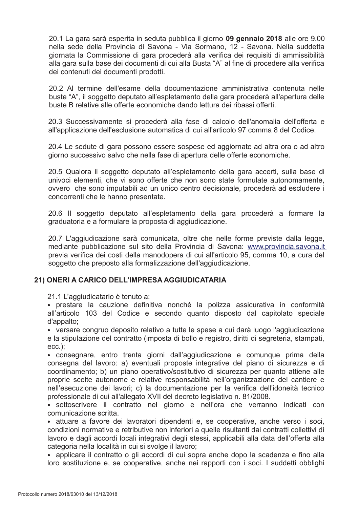20.1 La gara sarà esperita in seduta pubblica il giorno 09 gennaio 2018 alle ore 9.00 nella sede della Provincia di Savona - Via Sormano, 12 - Savona. Nella suddetta giornata la Commissione di gara procederà alla verifica dei requisiti di ammissibilità alla gara sulla base dei documenti di cui alla Busta "A" al fine di procedere alla verifica dei contenuti dei documenti prodotti.

20.2 Al termine dell'esame della documentazione amministrativa contenuta nelle buste "A", il soggetto deputato all'espletamento della gara procederà all'apertura delle buste B relative alle offerte economiche dando lettura dei ribassi offerti

20.3 Successivamente si procederà alla fase di calcolo dell'anomalia dell'offerta e all'applicazione dell'esclusione automatica di cui all'articolo 97 comma 8 del Codice.

20.4 Le sedute di gara possono essere sospese ed aggiornate ad altra ora o ad altro giorno successivo salvo che nella fase di apertura delle offerte economiche.

20.5 Qualora il soggetto deputato all'espletamento della gara accerti, sulla base di univoci elementi, che vi sono offerte che non sono state formulate autonomamente, ovvero che sono imputabili ad un unico centro decisionale, procederà ad escludere i concorrenti che le hanno presentate.

20.6 Il soggetto deputato all'espletamento della gara procederà a formare la graduatoria e a formulare la proposta di aggiudicazione.

20.7 L'aggiudicazione sarà comunicata, oltre che nelle forme previste dalla legge. mediante pubblicazione sul sito della Provincia di Savona: www.provincia.savona.it previa verifica dei costi della manodopera di cui all'articolo 95, comma 10, a cura del soggetto che preposto alla formalizzazione dell'aggiudicazione.

# 21) ONERI A CARICO DELL'IMPRESA AGGIUDICATARIA

21.1 L'aggiudicatario è tenuto a:

· prestare la cauzione definitiva nonché la polizza assicurativa in conformità all'articolo 103 del Codice e secondo quanto disposto dal capitolato speciale d'appalto:

• versare congruo deposito relativo a tutte le spese a cui darà luogo l'aggiudicazione e la stipulazione del contratto (imposta di bollo e registro, diritti di segreteria, stampati,  $ecc.$ );

• consegnare, entro trenta giorni dall'aggiudicazione e comungue prima della consegna del lavoro: a) eventuali proposte integrative del piano di sicurezza e di coordinamento; b) un piano operativo/sostitutivo di sicurezza per quanto attiene alle proprie scelte autonome e relative responsabilità nell'organizzazione del cantiere e nell'esecuzione dei lavori; c) la documentazione per la verifica dell'idoneità tecnico professionale di cui all'allegato XVII del decreto legislativo n. 81/2008.

· sottoscrivere il contratto nel giorno e nell'ora che verranno indicati con comunicazione scritta.

· attuare a favore dei lavoratori dipendenti e, se cooperative, anche verso i soci, condizioni normative e retributive non inferiori a quelle risultanti dai contratti collettivi di lavoro e dagli accordi locali integrativi degli stessi, applicabili alla data dell'offerta alla categoria nella località in cui si svolge il lavoro:

· applicare il contratto o gli accordi di cui sopra anche dopo la scadenza e fino alla loro sostituzione e, se cooperative, anche nei rapporti con i soci. I suddetti obblighi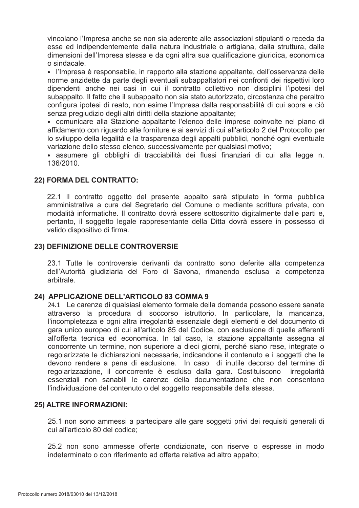vincolano l'Impresa anche se non sia aderente alle associazioni stipulanti o receda da esse ed indipendentemente dalla natura industriale o artigiana, dalla struttura, dalle dimensioni dell'Impresa stessa e da ogni altra sua qualificazione giuridica, economica o sindacale.

· l'Impresa è responsabile, in rapporto alla stazione appaltante, dell'osservanza delle norme anzidette da parte degli eventuali subappaltatori nei confronti dei rispettivi loro dipendenti anche nei casi in cui il contratto collettivo non disciplini l'ipotesi del subappalto. Il fatto che il subappalto non sia stato autorizzato, circostanza che peraltro configura ipotesi di reato, non esime l'Impresa dalla responsabilità di cui sopra e ciò senza pregiudizio degli altri diritti della stazione appaltante;

• comunicare alla Stazione appaltante l'elenco delle imprese coinvolte nel piano di affidamento con riguardo alle forniture e ai servizi di cui all'articolo 2 del Protocollo per lo sviluppo della legalità e la trasparenza degli appalti pubblici, nonché ogni eventuale variazione dello stesso elenco, successivamente per qualsiasi motivo;

· assumere gli obblighi di tracciabilità dei flussi finanziari di cui alla legge n. 136/2010.

# 22) FORMA DEL CONTRATTO:

22.1 Il contratto oggetto del presente appalto sarà stipulato in forma pubblica amministrativa a cura del Segretario del Comune o mediante scrittura privata, con modalità informatiche. Il contratto dovrà essere sottoscritto digitalmente dalle parti e, pertanto, il soggetto legale rappresentante della Ditta dovrà essere in possesso di valido dispositivo di firma.

# 23) DEFINIZIONE DELLE CONTROVERSIE

23.1 Tutte le controversie derivanti da contratto sono deferite alla competenza dell'Autorità giudiziaria del Foro di Savona, rimanendo esclusa la competenza arbitrale.

# 24) APPLICAZIONE DELL'ARTICOLO 83 COMMA 9

24.1 Le carenze di qualsiasi elemento formale della domanda possono essere sanate attraverso la procedura di soccorso istruttorio. In particolare, la mancanza, l'incompletezza e ogni altra irregolarità essenziale degli elementi e del documento di gara unico europeo di cui all'articolo 85 del Codice, con esclusione di quelle afferenti all'offerta tecnica ed economica. In tal caso, la stazione appaltante assegna al concorrente un termine, non superiore a dieci giorni, perché siano rese, integrate o regolarizzate le dichiarazioni necessarie, indicandone il contenuto e i soggetti che le devono rendere a pena di esclusione. In caso di inutile decorso del termine di regolarizzazione, il concorrente è escluso dalla gara. Costituiscono irregolarità essenziali non sanabili le carenze della documentazione che non consentono l'individuazione del contenuto o del soggetto responsabile della stessa.

# 25) ALTRE INFORMAZIONI:

25.1 non sono ammessi a partecipare alle gare soggetti privi dei reguisiti generali di cui all'articolo 80 del codice:

25.2 non sono ammesse offerte condizionate, con riserve o espresse in modo indeterminato o con riferimento ad offerta relativa ad altro appalto;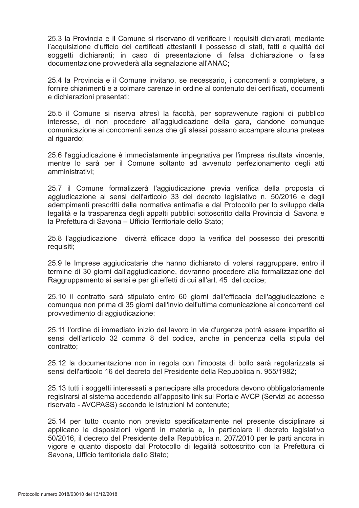25.3 la Provincia e il Comune si riservano di verificare i reguisiti dichiarati, mediante l'acquisizione d'ufficio dei certificati attestanti il possesso di stati, fatti e qualità dei soggetti dichiaranti; in caso di presentazione di falsa dichiarazione o falsa documentazione provvederà alla segnalazione all'ANAC:

25.4 la Provincia e il Comune invitano, se necessario, i concorrenti a completare, a fornire chiarimenti e a colmare carenze in ordine al contenuto dei certificati, documenti e dichiarazioni presentati;

25.5 il Comune si riserva altresì la facoltà, per sopravvenute ragioni di pubblico interesse, di non procedere all'aggiudicazione della gara, dandone comunque comunicazione ai concorrenti senza che gli stessi possano accampare alcuna pretesa al riguardo;

25.6 l'aggiudicazione è immediatamente impegnativa per l'impresa risultata vincente, mentre lo sarà per il Comune soltanto ad avvenuto perfezionamento degli atti amministrativi;

25.7 il Comune formalizzerà l'aggiudicazione previa verifica della proposta di aggiudicazione ai sensi dell'articolo 33 del decreto legislativo n. 50/2016 e degli adempimenti prescritti dalla normativa antimafia e dal Protocollo per lo sviluppo della legalità e la trasparenza degli appalti pubblici sottoscritto dalla Provincia di Savona e la Prefettura di Savona – Ufficio Territoriale dello Stato:

25.8 l'aggiudicazione diverrà efficace dopo la verifica del possesso dei prescritti requisiti:

25.9 le Imprese aggiudicatarie che hanno dichiarato di volersi raggruppare, entro il termine di 30 giorni dall'aggiudicazione, dovranno procedere alla formalizzazione del Raggruppamento ai sensi e per gli effetti di cui all'art. 45 del codice;

25.10 il contratto sarà stipulato entro 60 giorni dall'efficacia dell'aggiudicazione e comunque non prima di 35 giorni dall'invio dell'ultima comunicazione ai concorrenti del provvedimento di aggiudicazione;

25.11 l'ordine di immediato inizio del lavoro in via d'urgenza potrà essere impartito ai sensi dell'articolo 32 comma 8 del codice, anche in pendenza della stipula del contratto:

25.12 la documentazione non in regola con l'imposta di bollo sarà regolarizzata ai sensi dell'articolo 16 del decreto del Presidente della Repubblica n. 955/1982;

25.13 tutti i soggetti interessati a partecipare alla procedura devono obbligatoriamente registrarsi al sistema accedendo all'apposito link sul Portale AVCP (Servizi ad accesso riservato - AVCPASS) secondo le istruzioni ivi contenute;

25.14 per tutto quanto non previsto specificatamente nel presente disciplinare si applicano le disposizioni vigenti in materia e, in particolare il decreto legislativo 50/2016, il decreto del Presidente della Repubblica n. 207/2010 per le parti ancora in vigore e quanto disposto dal Protocollo di legalità sottoscritto con la Prefettura di Savona, Ufficio territoriale dello Stato;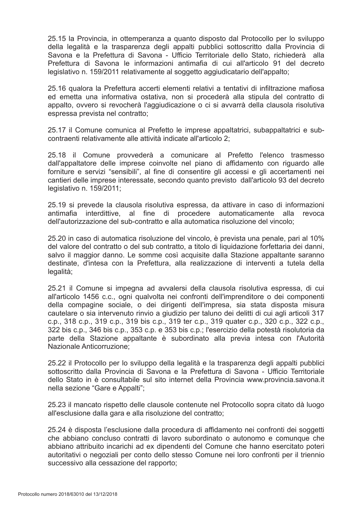25.15 la Provincia, in ottemperanza a quanto disposto dal Protocollo per lo sviluppo della legalità e la trasparenza degli appalti pubblici sottoscritto dalla Provincia di Savona e la Prefettura di Savona - Ufficio Territoriale dello Stato, richiederà alla Prefettura di Savona le informazioni antimafia di cui all'articolo 91 del decreto legislativo n. 159/2011 relativamente al soggetto aggiudicatario dell'appalto:

25.16 qualora la Prefettura accerti elementi relativi a tentativi di infiltrazione mafiosa ed emetta una informativa ostativa, non si procederà alla stipula del contratto di appalto, ovvero si revocherà l'aggiudicazione o ci si avvarrà della clausola risolutiva espressa prevista nel contratto:

25.17 il Comune comunica al Prefetto le imprese appaltatrici, subappaltatrici e subcontraenti relativamente alle attività indicate all'articolo 2;

25.18 il Comune provvederà a comunicare al Prefetto l'elenco trasmesso dall'appaltatore delle imprese coinvolte nel piano di affidamento con riguardo alle forniture e servizi "sensibili", al fine di consentire gli accessi e gli accertamenti nei cantieri delle imprese interessate, secondo quanto previsto dall'articolo 93 del decreto legislativo n. 159/2011;

25.19 si prevede la clausola risolutiva espressa, da attivare in caso di informazioni antimafia interdittive, al fine di procedere automaticamente alla revoca dell'autorizzazione del sub-contratto e alla automatica risoluzione del vincolo:

25.20 in caso di automatica risoluzione del vincolo, è prevista una penale, pari al 10% del valore del contratto o del sub contratto, a titolo di liguidazione forfettaria dei danni, salvo il maggior danno. Le somme così acquisite dalla Stazione appaltante saranno destinate, d'intesa con la Prefettura, alla realizzazione di interventi a tutela della legalità;

25.21 il Comune si impegna ad avvalersi della clausola risolutiva espressa, di cui all'articolo 1456 c.c., ogni qualvolta nei confronti dell'imprenditore o dei componenti della compagine sociale, o dei dirigenti dell'impresa, sia stata disposta misura cautelare o sia intervenuto rinvio a giudizio per taluno dei delitti di cui agli articoli 317 c.p., 318 c.p., 319 c.p., 319 bis c.p., 319 ter c.p., 319 quater c.p., 320 c.p., 322 c.p., 322 bis c.p., 346 bis c.p., 353 c.p. e 353 bis c.p.; l'esercizio della potestà risolutoria da parte della Stazione appaltante è subordinato alla previa intesa con l'Autorità Nazionale Anticorruzione:

25.22 il Protocollo per lo sviluppo della legalità e la trasparenza degli appalti pubblici sottoscritto dalla Provincia di Savona e la Prefettura di Savona - Ufficio Territoriale dello Stato in è consultabile sul sito internet della Provincia www.provincia.savona.it nella sezione "Gare e Appalti";

25.23 il mancato rispetto delle clausole contenute nel Protocollo sopra citato dà luogo all'esclusione dalla gara e alla risoluzione del contratto:

25.24 è disposta l'esclusione dalla procedura di affidamento nei confronti dei soggetti che abbiano concluso contratti di lavoro subordinato o autonomo e comunque che abbiano attribuito incarichi ad ex dipendenti del Comune che hanno esercitato poteri autoritativi o negoziali per conto dello stesso Comune nei loro confronti per il triennio successivo alla cessazione del rapporto;